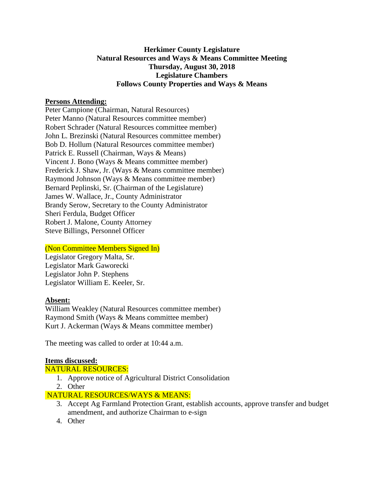# **Herkimer County Legislature Natural Resources and Ways & Means Committee Meeting Thursday, August 30, 2018 Legislature Chambers Follows County Properties and Ways & Means**

### **Persons Attending:**

Peter Campione (Chairman, Natural Resources) Peter Manno (Natural Resources committee member) Robert Schrader (Natural Resources committee member) John L. Brezinski (Natural Resources committee member) Bob D. Hollum (Natural Resources committee member) Patrick E. Russell (Chairman, Ways & Means) Vincent J. Bono (Ways & Means committee member) Frederick J. Shaw, Jr. (Ways & Means committee member) Raymond Johnson (Ways & Means committee member) Bernard Peplinski, Sr. (Chairman of the Legislature) James W. Wallace, Jr., County Administrator Brandy Serow, Secretary to the County Administrator Sheri Ferdula, Budget Officer Robert J. Malone, County Attorney Steve Billings, Personnel Officer

# (Non Committee Members Signed In)

Legislator Gregory Malta, Sr. Legislator Mark Gaworecki Legislator John P. Stephens Legislator William E. Keeler, Sr.

## **Absent:**

William Weakley (Natural Resources committee member) Raymond Smith (Ways & Means committee member) Kurt J. Ackerman (Ways & Means committee member)

The meeting was called to order at 10:44 a.m.

#### **Items discussed:**

NATURAL RESOURCES:

- 1. Approve notice of Agricultural District Consolidation
- 2. Other

## NATURAL RESOURCES/WAYS & MEANS:

- 3. Accept Ag Farmland Protection Grant, establish accounts, approve transfer and budget amendment, and authorize Chairman to e-sign
- 4. Other